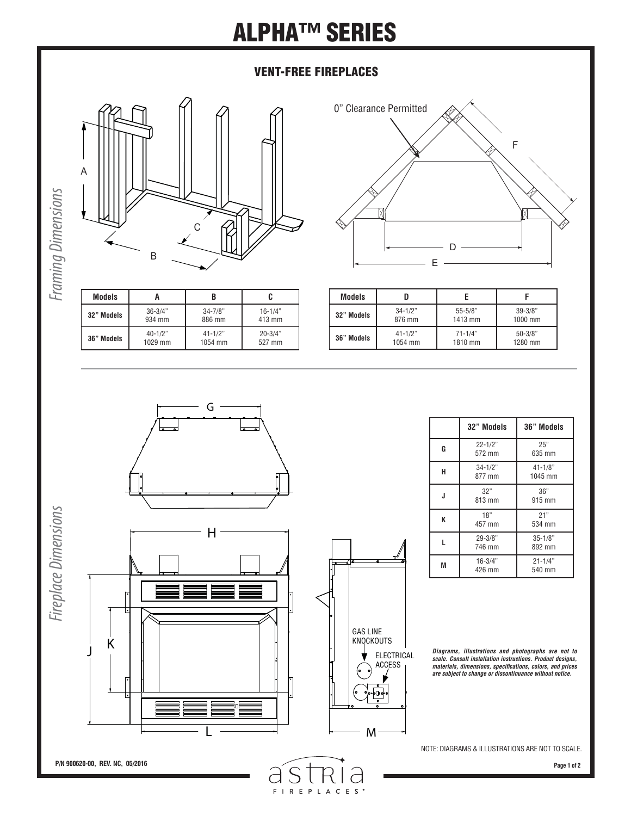## **ALPHA™ SERIES**

### **VENT-FREE FIREPLACES**





**Framing Dimensions** *Framing Dimensions*

| <b>Models</b> |             |              |              |
|---------------|-------------|--------------|--------------|
| 32" Models    | $36 - 3/4"$ | $34 - 7/8$ " | $16 - 1/4$ " |
|               | 934 mm      | 886 mm       | 413 mm       |
| 36" Models    | $40 - 1/2"$ | $41 - 1/2"$  | $20 - 3/4"$  |
|               | 1029 mm     | 1054 mm      | 527 mm       |

| <b>Models</b> |             |             |             |
|---------------|-------------|-------------|-------------|
| 32" Models    | $34 - 1/2"$ | $55 - 5/8"$ | $39 - 3/8"$ |
|               | 876 mm      | 1413 mm     | 1000 mm     |
| 36" Models    | $41 - 1/2"$ | $71 - 1/4"$ | $50 - 3/8"$ |
|               | 1054 mm     | 1810 mm     | 1280 mm     |



S

FIREPLACES<sup>®</sup>

 $\overline{d}$ 

 $\overline{C}$ 

|   | 32" Models            | 36" Models             |
|---|-----------------------|------------------------|
| G | $22 - 1/2"$<br>572 mm | 25"<br>635 mm          |
| н | $34 - 1/2"$<br>877 mm | $41 - 1/8"$<br>1045 mm |
| J | 32"<br>813 mm         | 36"<br>915 mm          |
| K | 18"<br>457 mm         | 21"<br>534 mm          |
| L | $29 - 3/8"$<br>746 mm | $35 - 1/8"$<br>892 mm  |
| M | $16 - 3/4"$<br>426 mm | $21 - 1/4"$<br>540 mm  |

*Diagrams, illustrations and photographs are not to scale. Consult installation instructions. Product designs, materials, dimensions, specifi cations, colors, and prices are subject to change or discontinuance without notice.*

NOTE: DIAGRAMS & ILLUSTRATIONS ARE NOT TO SCALE.

**Page 1 of 2**